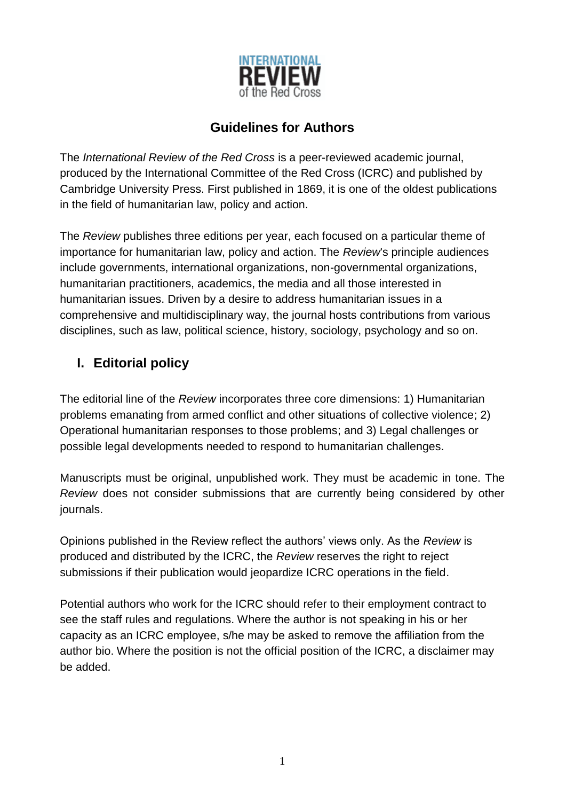

# **Guidelines for Authors**

The *International Review of the Red Cross* is a peer-reviewed academic journal, produced by the International Committee of the Red Cross (ICRC) and published by Cambridge University Press. First published in 1869, it is one of the oldest publications in the field of humanitarian law, policy and action.

The *Review* publishes three editions per year, each focused on a particular theme of importance for humanitarian law, policy and action. The *Review*'s principle audiences include governments, international organizations, non-governmental organizations, humanitarian practitioners, academics, the media and all those interested in humanitarian issues. Driven by a desire to address humanitarian issues in a comprehensive and multidisciplinary way, the journal hosts contributions from various disciplines, such as law, political science, history, sociology, psychology and so on.

# **I. Editorial policy**

The editorial line of the *Review* incorporates three core dimensions: 1) Humanitarian problems emanating from armed conflict and other situations of collective violence; 2) Operational humanitarian responses to those problems; and 3) Legal challenges or possible legal developments needed to respond to humanitarian challenges.

Manuscripts must be original, unpublished work. They must be academic in tone. The *Review* does not consider submissions that are currently being considered by other journals.

Opinions published in the Review reflect the authors' views only. As the *Review* is produced and distributed by the ICRC, the *Review* reserves the right to reject submissions if their publication would jeopardize ICRC operations in the field.

Potential authors who work for the ICRC should refer to their employment contract to see the staff rules and regulations. Where the author is not speaking in his or her capacity as an ICRC employee, s/he may be asked to remove the affiliation from the author bio. Where the position is not the official position of the ICRC, a disclaimer may be added.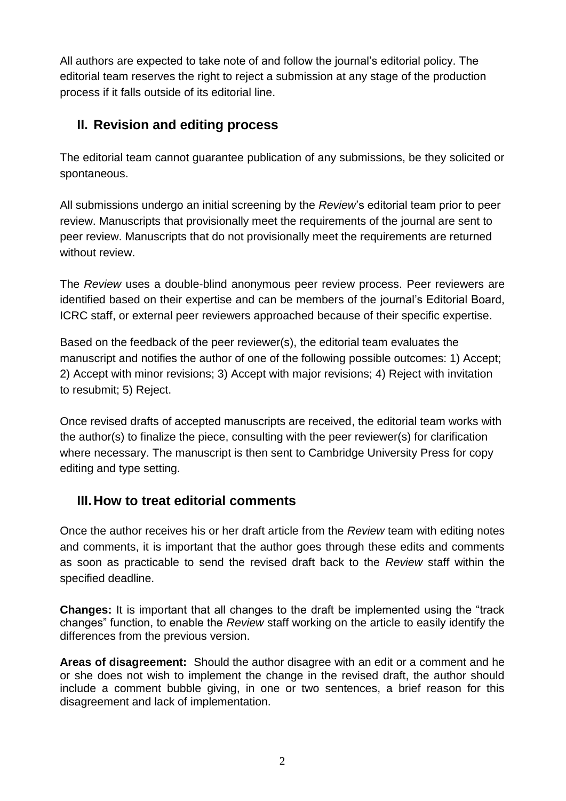All authors are expected to take note of and follow the journal's editorial policy. The editorial team reserves the right to reject a submission at any stage of the production process if it falls outside of its editorial line.

# **II. Revision and editing process**

The editorial team cannot guarantee publication of any submissions, be they solicited or spontaneous.

All submissions undergo an initial screening by the *Review*'s editorial team prior to peer review. Manuscripts that provisionally meet the requirements of the journal are sent to peer review. Manuscripts that do not provisionally meet the requirements are returned without review.

The *Review* uses a double-blind anonymous peer review process. Peer reviewers are identified based on their expertise and can be members of the journal's Editorial Board, ICRC staff, or external peer reviewers approached because of their specific expertise.

Based on the feedback of the peer reviewer(s), the editorial team evaluates the manuscript and notifies the author of one of the following possible outcomes: 1) Accept; 2) Accept with minor revisions; 3) Accept with major revisions; 4) Reject with invitation to resubmit; 5) Reject.

Once revised drafts of accepted manuscripts are received, the editorial team works with the author(s) to finalize the piece, consulting with the peer reviewer(s) for clarification where necessary. The manuscript is then sent to Cambridge University Press for copy editing and type setting.

# **III.How to treat editorial comments**

Once the author receives his or her draft article from the *Review* team with editing notes and comments, it is important that the author goes through these edits and comments as soon as practicable to send the revised draft back to the *Review* staff within the specified deadline.

**Changes:** It is important that all changes to the draft be implemented using the "track" changes" function, to enable the *Review* staff working on the article to easily identify the differences from the previous version.

**Areas of disagreement:** Should the author disagree with an edit or a comment and he or she does not wish to implement the change in the revised draft, the author should include a comment bubble giving, in one or two sentences, a brief reason for this disagreement and lack of implementation.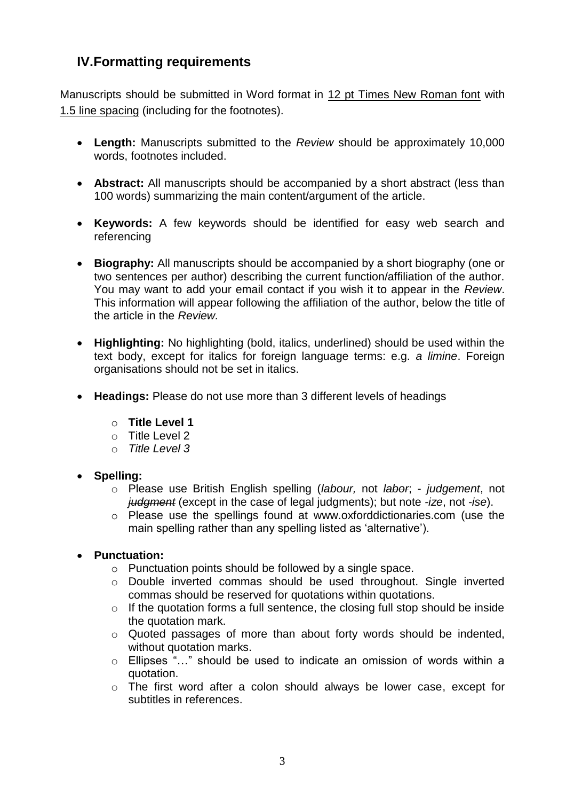# **IV.Formatting requirements**

Manuscripts should be submitted in Word format in 12 pt Times New Roman font with 1.5 line spacing (including for the footnotes).

- **Length:** Manuscripts submitted to the *Review* should be approximately 10,000 words, footnotes included.
- **Abstract:** All manuscripts should be accompanied by a short abstract (less than 100 words) summarizing the main content/argument of the article.
- **Keywords:** A few keywords should be identified for easy web search and referencing
- **Biography:** All manuscripts should be accompanied by a short biography (one or two sentences per author) describing the current function/affiliation of the author. You may want to add your email contact if you wish it to appear in the *Review*. This information will appear following the affiliation of the author, below the title of the article in the *Review.*
- **Highlighting:** No highlighting (bold, italics, underlined) should be used within the text body, except for italics for foreign language terms: e.g. *a limine*. Foreign organisations should not be set in italics.
- **Headings:** Please do not use more than 3 different levels of headings
	- o **Title Level 1**
	- $\circ$  Title Level 2
	- o *Title Level 3*
- **Spelling:** 
	- o Please use British English spelling (*labour,* not *labor*; *judgement*, not *judgment* (except in the case of legal judgments); but note *-ize*, not *-ise*).
	- o Please use the spellings found at www.oxforddictionaries.com (use the main spelling rather than any spelling listed as 'alternative').
- **Punctuation:** 
	- o Punctuation points should be followed by a single space.
	- o Double inverted commas should be used throughout. Single inverted commas should be reserved for quotations within quotations.
	- $\circ$  If the quotation forms a full sentence, the closing full stop should be inside the quotation mark.
	- o Quoted passages of more than about forty words should be indented, without quotation marks.
	- o Ellipses "…" should be used to indicate an omission of words within a quotation.
	- o The first word after a colon should always be lower case, except for subtitles in references.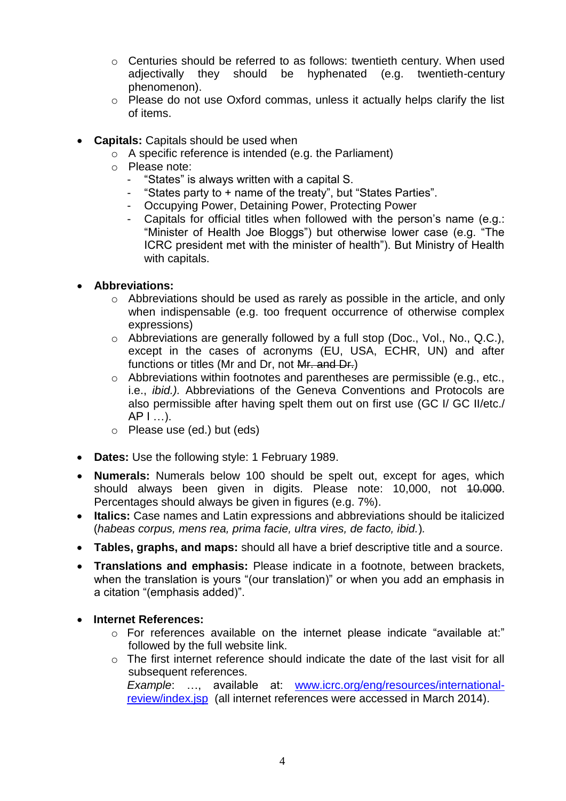- o Centuries should be referred to as follows: twentieth century. When used adjectivally they should be hyphenated (e.g. twentieth-century phenomenon).
- o Please do not use Oxford commas, unless it actually helps clarify the list of items.
- **Capitals:** Capitals should be used when
	- o A specific reference is intended (e.g. the Parliament)
	- o Please note:
		- "States" is always written with a capital S.
		- "States party to + name of the treaty", but "States Parties".
		- Occupying Power, Detaining Power, Protecting Power
		- Capitals for official titles when followed with the person's name (e.g.: "Minister of Health Joe Bloggs") but otherwise lower case (e.g. "The ICRC president met with the minister of health"). But Ministry of Health with capitals.

### • **Abbreviations:**

- o Abbreviations should be used as rarely as possible in the article, and only when indispensable (e.g. too frequent occurrence of otherwise complex expressions)
- o Abbreviations are generally followed by a full stop (Doc., Vol., No., Q.C.), except in the cases of acronyms (EU, USA, ECHR, UN) and after functions or titles (Mr and Dr, not Mr. and Dr.)
- o Abbreviations within footnotes and parentheses are permissible (e.g., etc., i.e., *ibid.).* Abbreviations of the Geneva Conventions and Protocols are also permissible after having spelt them out on first use (GC I/ GC II/etc./  $AP$   $| \dots$ ).
- o Please use (ed.) but (eds)
- **Dates:** Use the following style: 1 February 1989.
- **Numerals:** Numerals below 100 should be spelt out, except for ages, which should always been given in digits. Please note: 10,000, not 40.000. Percentages should always be given in figures (e.g. 7%).
- **Italics:** Case names and Latin expressions and abbreviations should be italicized (*habeas corpus, mens rea, prima facie, ultra vires, de facto, ibid.*)*.*
- **Tables, graphs, and maps:** should all have a brief descriptive title and a source.
- **Translations and emphasis:** Please indicate in a footnote, between brackets, when the translation is yours "(our translation)" or when you add an emphasis in a citation "(emphasis added)".
- **Internet References:**
	- o For references available on the internet please indicate "available at:" followed by the full website link.
	- o The first internet reference should indicate the date of the last visit for all subsequent references. *Example*: …, available at: [www.icrc.org/eng/resources/international-](http://www.icrc.org/eng/resources/international-review/index.jsp)

[review/index.jsp](http://www.icrc.org/eng/resources/international-review/index.jsp) (all internet references were accessed in March 2014).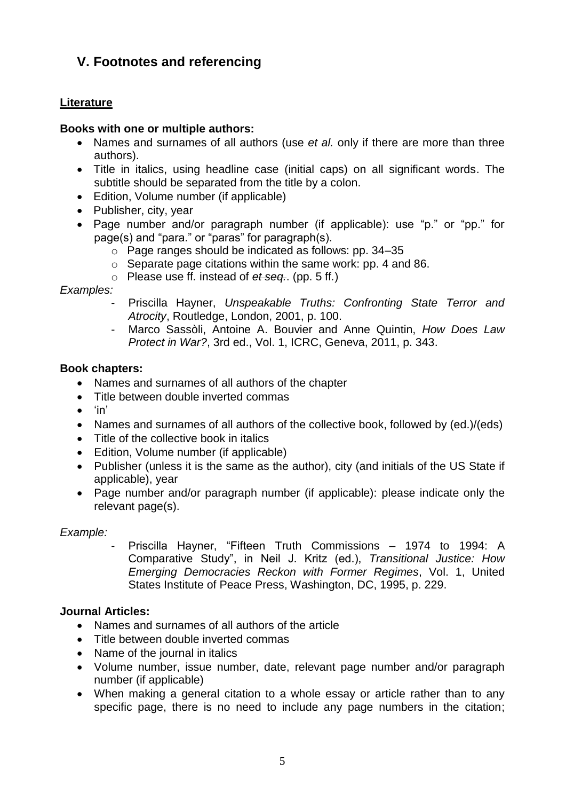# **V. Footnotes and referencing**

## **Literature**

### **Books with one or multiple authors:**

- Names and surnames of all authors (use *et al.* only if there are more than three authors).
- Title in italics, using headline case (initial caps) on all significant words. The subtitle should be separated from the title by a colon.
- Edition, Volume number (if applicable)
- Publisher, city, year
- Page number and/or paragraph number (if applicable): use "p." or "pp." for page(s) and "para." or "paras" for paragraph(s).
	- o Page ranges should be indicated as follows: pp. 34–35
	- $\circ$  Separate page citations within the same work: pp. 4 and 86.
	- o Please use ff*.* instead of *et seq.*. (pp. 5 ff*.*)

## *Examples:*

- Priscilla Hayner, *Unspeakable Truths: Confronting State Terror and Atrocity*, Routledge, London, 2001, p. 100.
- Marco Sassòli, Antoine A. Bouvier and Anne Quintin, *How Does Law Protect in War?*, 3rd ed., Vol. 1, ICRC, Geneva, 2011, p. 343.

### **Book chapters:**

- Names and surnames of all authors of the chapter
- Title between double inverted commas
- $\bullet$  'in'
- Names and surnames of all authors of the collective book, followed by (ed.)/(eds)
- Title of the collective book in italics
- Edition, Volume number (if applicable)
- Publisher (unless it is the same as the author), city (and initials of the US State if applicable), year
- Page number and/or paragraph number (if applicable): please indicate only the relevant page(s).

## *Example:*

Priscilla Hayner, "Fifteen Truth Commissions - 1974 to 1994: A Comparative Study", in Neil J. Kritz (ed.), *Transitional Justice: How Emerging Democracies Reckon with Former Regimes*, Vol. 1, United States Institute of Peace Press, Washington, DC, 1995, p. 229.

## **Journal Articles:**

- Names and surnames of all authors of the article
- Title between double inverted commas
- Name of the journal in italics
- Volume number, issue number, date, relevant page number and/or paragraph number (if applicable)
- When making a general citation to a whole essay or article rather than to any specific page, there is no need to include any page numbers in the citation;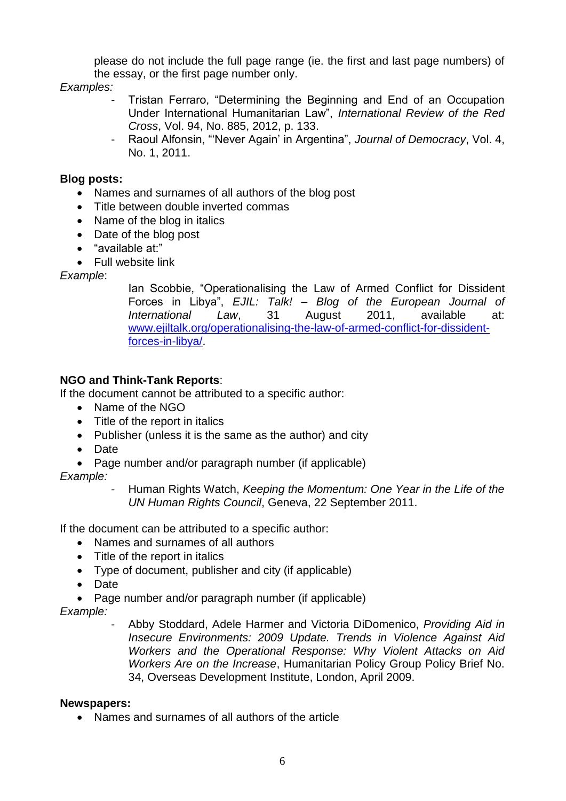please do not include the full page range (ie. the first and last page numbers) of the essay, or the first page number only.

## *Examples:*

- Tristan Ferraro, "Determining the Beginning and End of an Occupation Under International Humanitarian Law", *International Review of the Red Cross*, Vol. 94, No. 885, 2012, p. 133.
- Raoul Alfonsin, "'Never Again' in Argentina", *Journal of Democracy*, Vol. 4, No. 1, 2011.

## **Blog posts:**

- Names and surnames of all authors of the blog post
- Title between double inverted commas
- Name of the blog in italics
- Date of the blog post
- "available at:"
- Full website link

## *Example*:

Ian Scobbie, "Operationalising the Law of Armed Conflict for Dissident Forces in Libya", *EJIL: Talk! – Blog of the European Journal of International Law*, 31 August 2011, available at: [www.ejiltalk.org/operationalising-the-law-of-armed-conflict-for-dissident](http://www.ejiltalk.org/operationalising-the-law-of-armed-conflict-for-dissident-forces-in-libya/)[forces-in-libya/.](http://www.ejiltalk.org/operationalising-the-law-of-armed-conflict-for-dissident-forces-in-libya/)

# **NGO and Think-Tank Reports**:

If the document cannot be attributed to a specific author:

- Name of the NGO
- Title of the report in italics
- Publisher (unless it is the same as the author) and city
- Date
- Page number and/or paragraph number (if applicable)

# *Example:*

- Human Rights Watch, *Keeping the Momentum: One Year in the Life of the UN Human Rights Council*, Geneva, 22 September 2011.

If the document can be attributed to a specific author:

- Names and surnames of all authors
- Title of the report in italics
- Type of document, publisher and city (if applicable)
- Date
- Page number and/or paragraph number (if applicable)

*Example:* 

- Abby Stoddard, Adele Harmer and Victoria DiDomenico, *Providing Aid in Insecure Environments: 2009 Update. Trends in Violence Against Aid Workers and the Operational Response: Why Violent Attacks on Aid Workers Are on the Increase*, Humanitarian Policy Group Policy Brief No. 34, Overseas Development Institute, London, April 2009.

## **Newspapers:**

• Names and surnames of all authors of the article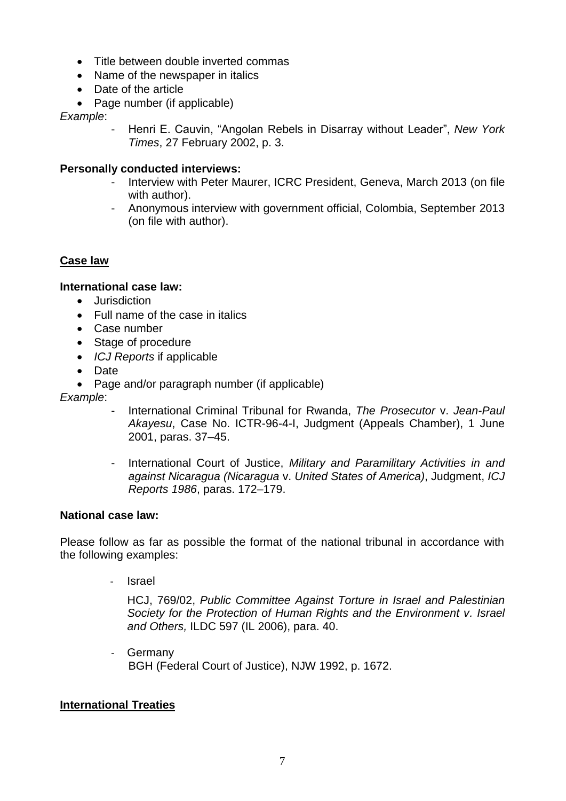- Title between double inverted commas
- Name of the newspaper in italics
- Date of the article
- Page number (if applicable)

*Example*:

- Henri E. Cauvin, "Angolan Rebels in Disarray without Leader", *New York Times*, 27 February 2002, p. 3.

# **Personally conducted interviews:**

- Interview with Peter Maurer, ICRC President, Geneva, March 2013 (on file with author).
- Anonymous interview with government official, Colombia, September 2013 (on file with author).

# **Case law**

# **International case law:**

- Jurisdiction
- Full name of the case in italics
- Case number
- Stage of procedure
- *ICJ Reports* if applicable
- Date
- Page and/or paragraph number (if applicable)

*Example*:

- International Criminal Tribunal for Rwanda, *The Prosecutor* v. *Jean-Paul Akayesu*, Case No. ICTR-96-4-I, Judgment (Appeals Chamber), 1 June 2001, paras. 37–45.
- International Court of Justice, *Military and Paramilitary Activities in and against Nicaragua (Nicaragua* v. *United States of America)*, Judgment, *ICJ Reports 1986*, paras. 172–179.

## **National case law:**

Please follow as far as possible the format of the national tribunal in accordance with the following examples:

**Israel** 

HCJ, 769/02, *Public Committee Against Torture in Israel and Palestinian Society for the Protection of Human Rights and the Environment v. Israel and Others,* ILDC 597 (IL 2006), para. 40.

- Germany BGH (Federal Court of Justice), NJW 1992, p. 1672.

# **International Treaties**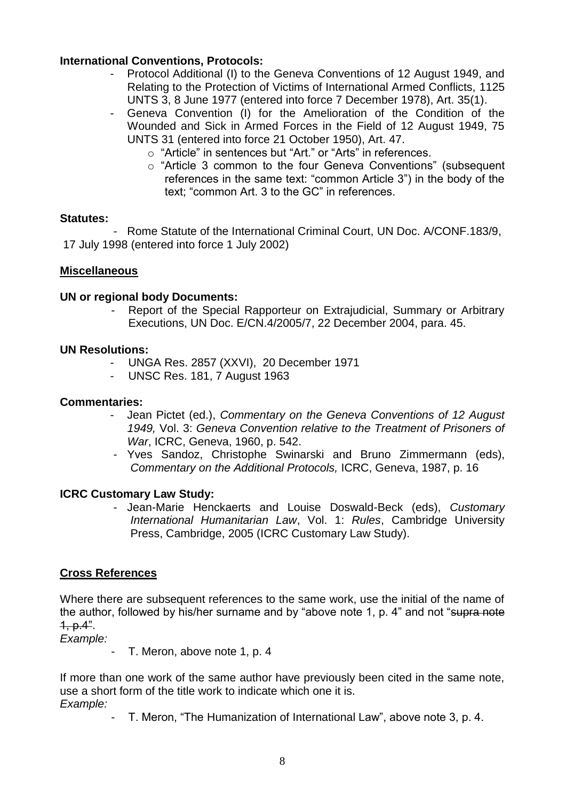### **International Conventions, Protocols:**

- Protocol Additional (I) to the Geneva Conventions of 12 August 1949, and Relating to the Protection of Victims of International Armed Conflicts, 1125 UNTS 3, 8 June 1977 (entered into force 7 December 1978), Art. 35(1).
- Geneva Convention (I) for the Amelioration of the Condition of the Wounded and Sick in Armed Forces in the Field of 12 August 1949, 75 UNTS 31 (entered into force 21 October 1950), Art. 47.
	- o "Article" in sentences but "Art." or "Arts" in references.
	- o "Article 3 common to the four Geneva Conventions" (subsequent references in the same text: "common Article 3") in the body of the text; "common Art. 3 to the GC" in references.

### **Statutes:**

- Rome Statute of the International Criminal Court, UN Doc. A/CONF.183/9, 17 July 1998 (entered into force 1 July 2002)

### **Miscellaneous**

### **UN or regional body Documents:**

Report of the Special Rapporteur on Extrajudicial, Summary or Arbitrary Executions, UN Doc. E/CN.4/2005/7, 22 December 2004, para. 45.

### **UN Resolutions:**

- UNGA Res. 2857 (XXVI), 20 December 1971
- UNSC Res. 181, 7 August 1963

#### **Commentaries:**

- Jean Pictet (ed.), *Commentary on the Geneva Conventions of 12 August 1949,* Vol. 3: *Geneva Convention relative to the Treatment of Prisoners of War*, ICRC, Geneva, 1960, p. 542.
- Yves Sandoz, Christophe Swinarski and Bruno Zimmermann (eds), *Commentary on the Additional Protocols,* ICRC, Geneva, 1987, p. 16

### **ICRC Customary Law Study:**

- Jean-Marie Henckaerts and Louise Doswald-Beck (eds), *Customary International Humanitarian Law*, Vol. 1: *Rules*, Cambridge University Press, Cambridge, 2005 (ICRC Customary Law Study).

### **Cross References**

Where there are subsequent references to the same work, use the initial of the name of the author, followed by his/her surname and by "above note 1, p. 4" and not "supra note 1, p.4".

*Example:* 

- T. Meron, above note 1, p. 4

If more than one work of the same author have previously been cited in the same note, use a short form of the title work to indicate which one it is. *Example:* 

- T. Meron, "The Humanization of International Law", above note 3, p. 4.